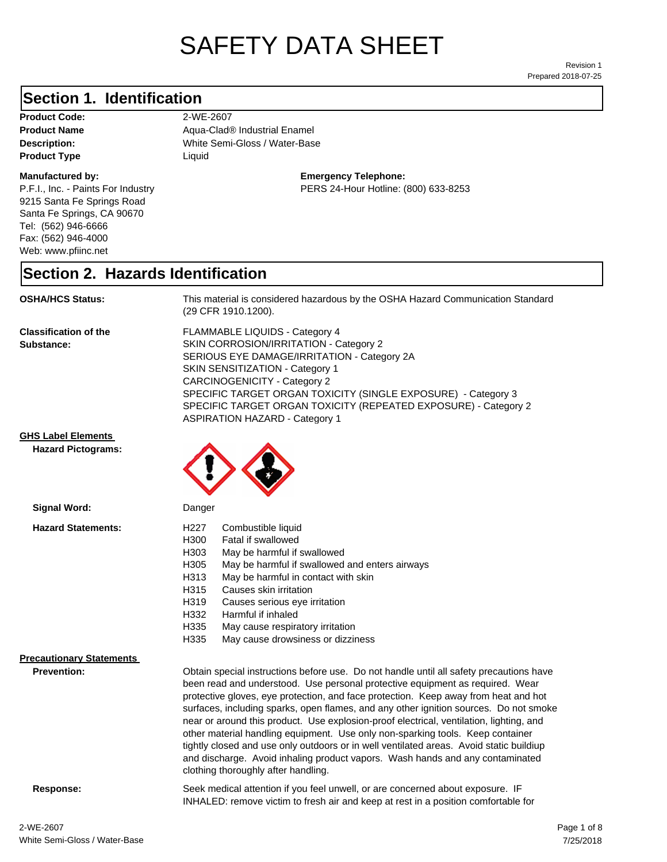# SAFETY DATA SHEET

Prepared 2018-07-25 Revision 1

#### **Section 1. Identification**

**Product Code:** 2-WE-2607 **Product Type Liquid Liquid** 

#### **Manufactured by:**

P.F.I., Inc. - Paints For Industry 9215 Santa Fe Springs Road Santa Fe Springs, CA 90670 Tel: (562) 946-6666 Fax: (562) 946-4000 Web: www.pfiinc.net

**Description:** White Semi-Gloss / Water-Base **Product Name** Aqua-Clad<sup>®</sup> Industrial Enamel

**Emergency Telephone:**

PERS 24-Hour Hotline: (800) 633-8253

#### **Section 2. Hazards Identification**

**OSHA/HCS Status:** This material is considered hazardous by the OSHA Hazard Communication Standard (29 CFR 1910.1200).

**Classification of the Substance:**

FLAMMABLE LIQUIDS - Category 4 SKIN CORROSION/IRRITATION - Category 2 SERIOUS EYE DAMAGE/IRRITATION - Category 2A SKIN SENSITIZATION - Category 1 CARCINOGENICITY - Category 2 SPECIFIC TARGET ORGAN TOXICITY (SINGLE EXPOSURE) - Category 3 SPECIFIC TARGET ORGAN TOXICITY (REPEATED EXPOSURE) - Category 2 ASPIRATION HAZARD - Category 1

and discharge. Avoid inhaling product vapors. Wash hands and any contaminated

INHALED: remove victim to fresh air and keep at rest in a position comfortable for

**GHS Label Elements**

**Hazard Pictograms:**



| Signal Word:                    | Danger |                                                                                         |
|---------------------------------|--------|-----------------------------------------------------------------------------------------|
| <b>Hazard Statements:</b>       | H227   | Combustible liquid                                                                      |
|                                 | H300   | Fatal if swallowed                                                                      |
|                                 | H303   | May be harmful if swallowed                                                             |
|                                 | H305   | May be harmful if swallowed and enters airways                                          |
|                                 | H313   | May be harmful in contact with skin                                                     |
|                                 | H315   | Causes skin irritation                                                                  |
|                                 | H319   | Causes serious eye irritation                                                           |
|                                 | H332   | Harmful if inhaled                                                                      |
|                                 | H335   | May cause respiratory irritation                                                        |
|                                 | H335   | May cause drowsiness or dizziness                                                       |
| <b>Precautionary Statements</b> |        |                                                                                         |
| <b>Prevention:</b>              |        | Obtain special instructions before use. Do not handle until all safety precautions have |
|                                 |        | been read and understood. Use personal protective equipment as required. Wear           |
|                                 |        | protective gloves, eye protection, and face protection. Keep away from heat and hot     |
|                                 |        | surfaces, including sparks, open flames, and any other ignition sources. Do not smoke   |
|                                 |        | near or around this product. Use explosion-proof electrical, ventilation, lighting, and |
|                                 |        | other material handling equipment. Use only non-sparking tools. Keep container          |
|                                 |        |                                                                                         |
|                                 |        | tightly closed and use only outdoors or in well ventilated areas. Avoid static buildiup |

clothing thoroughly after handling.

**Response:** Seek medical attention if you feel unwell, or are concerned about exposure. IF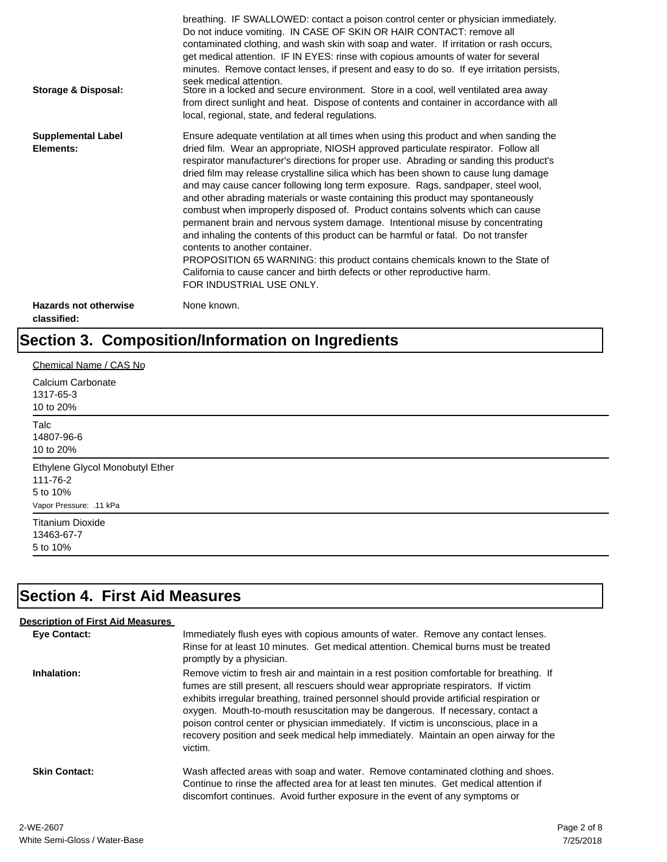| Storage & Disposal:                         | breathing. IF SWALLOWED: contact a poison control center or physician immediately.<br>Do not induce vomiting. IN CASE OF SKIN OR HAIR CONTACT: remove all<br>contaminated clothing, and wash skin with soap and water. If irritation or rash occurs,<br>get medical attention. IF IN EYES: rinse with copious amounts of water for several<br>minutes. Remove contact lenses, if present and easy to do so. If eye irritation persists,<br>seek medical attention.<br>Store in a locked and secure environment. Store in a cool, well ventilated area away<br>from direct sunlight and heat. Dispose of contents and container in accordance with all<br>local, regional, state, and federal regulations.                                                                                                                                                                                                                                                                                                                |
|---------------------------------------------|--------------------------------------------------------------------------------------------------------------------------------------------------------------------------------------------------------------------------------------------------------------------------------------------------------------------------------------------------------------------------------------------------------------------------------------------------------------------------------------------------------------------------------------------------------------------------------------------------------------------------------------------------------------------------------------------------------------------------------------------------------------------------------------------------------------------------------------------------------------------------------------------------------------------------------------------------------------------------------------------------------------------------|
| <b>Supplemental Label</b><br>Elements:      | Ensure adequate ventilation at all times when using this product and when sanding the<br>dried film. Wear an appropriate, NIOSH approved particulate respirator. Follow all<br>respirator manufacturer's directions for proper use. Abrading or sanding this product's<br>dried film may release crystalline silica which has been shown to cause lung damage<br>and may cause cancer following long term exposure. Rags, sandpaper, steel wool,<br>and other abrading materials or waste containing this product may spontaneously<br>combust when improperly disposed of. Product contains solvents which can cause<br>permanent brain and nervous system damage. Intentional misuse by concentrating<br>and inhaling the contents of this product can be harmful or fatal. Do not transfer<br>contents to another container.<br>PROPOSITION 65 WARNING: this product contains chemicals known to the State of<br>California to cause cancer and birth defects or other reproductive harm.<br>FOR INDUSTRIAL USE ONLY. |
| <b>Hazards not otherwise</b><br>classified: | None known.                                                                                                                                                                                                                                                                                                                                                                                                                                                                                                                                                                                                                                                                                                                                                                                                                                                                                                                                                                                                              |

# **Section 3. Composition/Information on Ingredients**

| Chemical Name / CAS No                                                             |  |
|------------------------------------------------------------------------------------|--|
| Calcium Carbonate<br>1317-65-3<br>10 to 20%                                        |  |
| Talc<br>14807-96-6<br>10 to 20%                                                    |  |
| Ethylene Glycol Monobutyl Ether<br>111-76-2<br>5 to 10%<br>Vapor Pressure: .11 kPa |  |
| <b>Titanium Dioxide</b><br>13463-67-7<br>5 to 10%                                  |  |

# **Section 4. First Aid Measures**

| <b>Description of First Aid Measures</b> |                                                                                                                                                                                                                                                                                                                                                                                                                                                                                                                                                           |
|------------------------------------------|-----------------------------------------------------------------------------------------------------------------------------------------------------------------------------------------------------------------------------------------------------------------------------------------------------------------------------------------------------------------------------------------------------------------------------------------------------------------------------------------------------------------------------------------------------------|
| Eye Contact:                             | Immediately flush eyes with copious amounts of water. Remove any contact lenses.<br>Rinse for at least 10 minutes. Get medical attention. Chemical burns must be treated<br>promptly by a physician.                                                                                                                                                                                                                                                                                                                                                      |
| Inhalation:                              | Remove victim to fresh air and maintain in a rest position comfortable for breathing. If<br>fumes are still present, all rescuers should wear appropriate respirators. If victim<br>exhibits irregular breathing, trained personnel should provide artificial respiration or<br>oxygen. Mouth-to-mouth resuscitation may be dangerous. If necessary, contact a<br>poison control center or physician immediately. If victim is unconscious, place in a<br>recovery position and seek medical help immediately. Maintain an open airway for the<br>victim. |
| <b>Skin Contact:</b>                     | Wash affected areas with soap and water. Remove contaminated clothing and shoes.<br>Continue to rinse the affected area for at least ten minutes. Get medical attention if<br>discomfort continues. Avoid further exposure in the event of any symptoms or                                                                                                                                                                                                                                                                                                |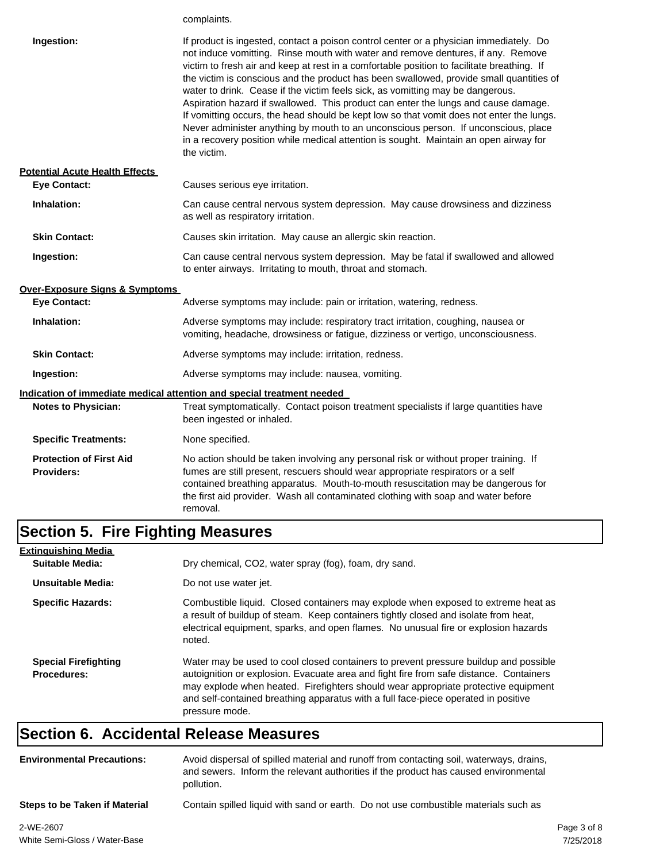|                                                     | complaints.                                                                                                                                                                                                                                                                                                                                                                                                                                                                                                                                                                                                                                                                                                                                                                                                                           |
|-----------------------------------------------------|---------------------------------------------------------------------------------------------------------------------------------------------------------------------------------------------------------------------------------------------------------------------------------------------------------------------------------------------------------------------------------------------------------------------------------------------------------------------------------------------------------------------------------------------------------------------------------------------------------------------------------------------------------------------------------------------------------------------------------------------------------------------------------------------------------------------------------------|
| Ingestion:                                          | If product is ingested, contact a poison control center or a physician immediately. Do<br>not induce vomitting. Rinse mouth with water and remove dentures, if any. Remove<br>victim to fresh air and keep at rest in a comfortable position to facilitate breathing. If<br>the victim is conscious and the product has been swallowed, provide small quantities of<br>water to drink. Cease if the victim feels sick, as vomitting may be dangerous.<br>Aspiration hazard if swallowed. This product can enter the lungs and cause damage.<br>If vomitting occurs, the head should be kept low so that vomit does not enter the lungs.<br>Never administer anything by mouth to an unconscious person. If unconscious, place<br>in a recovery position while medical attention is sought. Maintain an open airway for<br>the victim. |
| <b>Potential Acute Health Effects</b>               |                                                                                                                                                                                                                                                                                                                                                                                                                                                                                                                                                                                                                                                                                                                                                                                                                                       |
| <b>Eye Contact:</b>                                 | Causes serious eye irritation.                                                                                                                                                                                                                                                                                                                                                                                                                                                                                                                                                                                                                                                                                                                                                                                                        |
| Inhalation:                                         | Can cause central nervous system depression. May cause drowsiness and dizziness<br>as well as respiratory irritation.                                                                                                                                                                                                                                                                                                                                                                                                                                                                                                                                                                                                                                                                                                                 |
| <b>Skin Contact:</b>                                | Causes skin irritation. May cause an allergic skin reaction.                                                                                                                                                                                                                                                                                                                                                                                                                                                                                                                                                                                                                                                                                                                                                                          |
| Ingestion:                                          | Can cause central nervous system depression. May be fatal if swallowed and allowed<br>to enter airways. Irritating to mouth, throat and stomach.                                                                                                                                                                                                                                                                                                                                                                                                                                                                                                                                                                                                                                                                                      |
| Over-Exposure Signs & Symptoms                      |                                                                                                                                                                                                                                                                                                                                                                                                                                                                                                                                                                                                                                                                                                                                                                                                                                       |
| <b>Eye Contact:</b>                                 | Adverse symptoms may include: pain or irritation, watering, redness.                                                                                                                                                                                                                                                                                                                                                                                                                                                                                                                                                                                                                                                                                                                                                                  |
| Inhalation:                                         | Adverse symptoms may include: respiratory tract irritation, coughing, nausea or<br>vomiting, headache, drowsiness or fatigue, dizziness or vertigo, unconsciousness.                                                                                                                                                                                                                                                                                                                                                                                                                                                                                                                                                                                                                                                                  |
| <b>Skin Contact:</b>                                | Adverse symptoms may include: irritation, redness.                                                                                                                                                                                                                                                                                                                                                                                                                                                                                                                                                                                                                                                                                                                                                                                    |
| Ingestion:                                          | Adverse symptoms may include: nausea, vomiting.                                                                                                                                                                                                                                                                                                                                                                                                                                                                                                                                                                                                                                                                                                                                                                                       |
|                                                     | <u>Indication of immediate medical attention and special treatment needed</u>                                                                                                                                                                                                                                                                                                                                                                                                                                                                                                                                                                                                                                                                                                                                                         |
| <b>Notes to Physician:</b>                          | Treat symptomatically. Contact poison treatment specialists if large quantities have<br>been ingested or inhaled.                                                                                                                                                                                                                                                                                                                                                                                                                                                                                                                                                                                                                                                                                                                     |
| <b>Specific Treatments:</b>                         | None specified.                                                                                                                                                                                                                                                                                                                                                                                                                                                                                                                                                                                                                                                                                                                                                                                                                       |
| <b>Protection of First Aid</b><br><b>Providers:</b> | No action should be taken involving any personal risk or without proper training. If<br>fumes are still present, rescuers should wear appropriate respirators or a self<br>contained breathing apparatus. Mouth-to-mouth resuscitation may be dangerous for<br>the first aid provider. Wash all contaminated clothing with soap and water before<br>removal.                                                                                                                                                                                                                                                                                                                                                                                                                                                                          |

# **Section 5. Fire Fighting Measures**

| <b>Extinguishing Media</b>                                               |                                                                                                                                                                                                                                                                                                                                                                              |
|--------------------------------------------------------------------------|------------------------------------------------------------------------------------------------------------------------------------------------------------------------------------------------------------------------------------------------------------------------------------------------------------------------------------------------------------------------------|
| Dry chemical, CO2, water spray (fog), foam, dry sand.<br>Suitable Media: |                                                                                                                                                                                                                                                                                                                                                                              |
| Unsuitable Media:                                                        | Do not use water jet.                                                                                                                                                                                                                                                                                                                                                        |
| <b>Specific Hazards:</b>                                                 | Combustible liquid. Closed containers may explode when exposed to extreme heat as<br>a result of buildup of steam. Keep containers tightly closed and isolate from heat,<br>electrical equipment, sparks, and open flames. No unusual fire or explosion hazards<br>noted.                                                                                                    |
| <b>Special Firefighting</b><br><b>Procedures:</b>                        | Water may be used to cool closed containers to prevent pressure buildup and possible<br>autoignition or explosion. Evacuate area and fight fire from safe distance. Containers<br>may explode when heated. Firefighters should wear appropriate protective equipment<br>and self-contained breathing apparatus with a full face-piece operated in positive<br>pressure mode. |

### **Section 6. Accidental Release Measures**

| <b>Environmental Precautions:</b> | Avoid dispersal of spilled material and runoff from contacting soil, waterways, drains,<br>and sewers. Inform the relevant authorities if the product has caused environmental<br>pollution. |             |
|-----------------------------------|----------------------------------------------------------------------------------------------------------------------------------------------------------------------------------------------|-------------|
| Steps to be Taken if Material     | Contain spilled liquid with sand or earth. Do not use combustible materials such as                                                                                                          |             |
| 2-WE-2607                         |                                                                                                                                                                                              | Page 3 of 8 |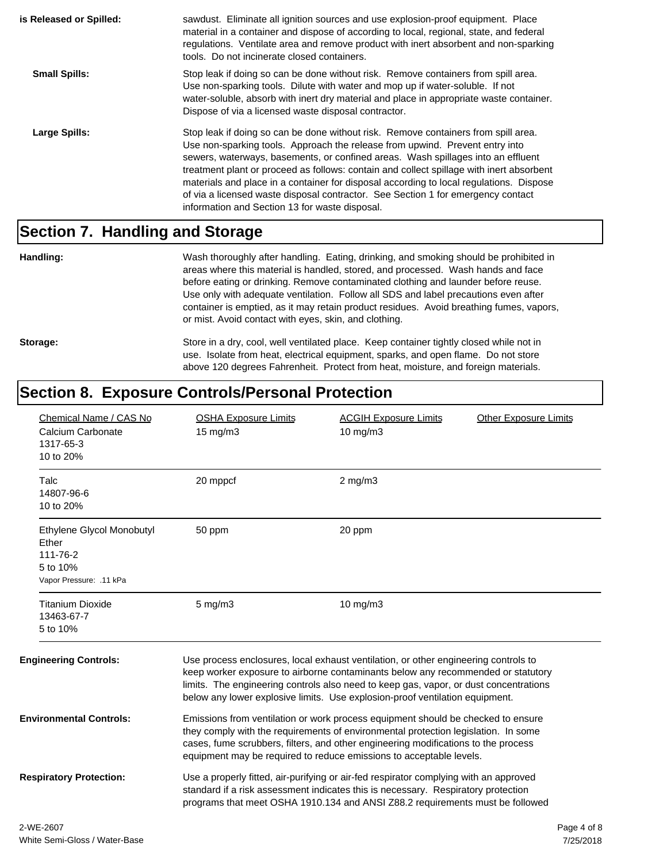| is Released or Spilled: | sawdust. Eliminate all ignition sources and use explosion-proof equipment. Place<br>material in a container and dispose of according to local, regional, state, and federal<br>regulations. Ventilate area and remove product with inert absorbent and non-sparking<br>tools. Do not incinerate closed containers.                                                                                                                                                                                                                                                                  |
|-------------------------|-------------------------------------------------------------------------------------------------------------------------------------------------------------------------------------------------------------------------------------------------------------------------------------------------------------------------------------------------------------------------------------------------------------------------------------------------------------------------------------------------------------------------------------------------------------------------------------|
| <b>Small Spills:</b>    | Stop leak if doing so can be done without risk. Remove containers from spill area.<br>Use non-sparking tools. Dilute with water and mop up if water-soluble. If not<br>water-soluble, absorb with inert dry material and place in appropriate waste container.<br>Dispose of via a licensed waste disposal contractor.                                                                                                                                                                                                                                                              |
| Large Spills:           | Stop leak if doing so can be done without risk. Remove containers from spill area.<br>Use non-sparking tools. Approach the release from upwind. Prevent entry into<br>sewers, waterways, basements, or confined areas. Wash spillages into an effluent<br>treatment plant or proceed as follows: contain and collect spillage with inert absorbent<br>materials and place in a container for disposal according to local regulations. Dispose<br>of via a licensed waste disposal contractor. See Section 1 for emergency contact<br>information and Section 13 for waste disposal. |

#### **Section 7. Handling and Storage**

**Handling:** Wash thoroughly after handling. Eating, drinking, and smoking should be prohibited in areas where this material is handled, stored, and processed. Wash hands and face before eating or drinking. Remove contaminated clothing and launder before reuse. Use only with adequate ventilation. Follow all SDS and label precautions even after container is emptied, as it may retain product residues. Avoid breathing fumes, vapors, or mist. Avoid contact with eyes, skin, and clothing.

Storage: Store in a dry, cool, well ventilated place. Keep container tightly closed while not in use. Isolate from heat, electrical equipment, sparks, and open flame. Do not store above 120 degrees Fahrenheit. Protect from heat, moisture, and foreign materials.

#### **Section 8. Exposure Controls/Personal Protection**

| Chemical Name / CAS No<br>Calcium Carbonate<br>1317-65-3<br>10 to 20%                 | <b>OSHA Exposure Limits</b><br>15 mg/m3                                                                                                                                                                                                                                                                                             | <b>Other Exposure Limits</b><br><b>ACGIH Exposure Limits</b><br>$10$ mg/m $3$                                                                                                                                                                                                                                                                    |                          |
|---------------------------------------------------------------------------------------|-------------------------------------------------------------------------------------------------------------------------------------------------------------------------------------------------------------------------------------------------------------------------------------------------------------------------------------|--------------------------------------------------------------------------------------------------------------------------------------------------------------------------------------------------------------------------------------------------------------------------------------------------------------------------------------------------|--------------------------|
| Talc<br>14807-96-6<br>10 to 20%                                                       | 20 mppcf                                                                                                                                                                                                                                                                                                                            | $2$ mg/m $3$                                                                                                                                                                                                                                                                                                                                     |                          |
| Ethylene Glycol Monobutyl<br>Ether<br>111-76-2<br>5 to 10%<br>Vapor Pressure: .11 kPa | 50 ppm                                                                                                                                                                                                                                                                                                                              | 20 ppm                                                                                                                                                                                                                                                                                                                                           |                          |
| <b>Titanium Dioxide</b><br>13463-67-7<br>5 to 10%                                     | $5 \text{ mg/m}$ 3                                                                                                                                                                                                                                                                                                                  | 10 mg/m3                                                                                                                                                                                                                                                                                                                                         |                          |
| <b>Engineering Controls:</b>                                                          |                                                                                                                                                                                                                                                                                                                                     | Use process enclosures, local exhaust ventilation, or other engineering controls to<br>keep worker exposure to airborne contaminants below any recommended or statutory<br>limits. The engineering controls also need to keep gas, vapor, or dust concentrations<br>below any lower explosive limits. Use explosion-proof ventilation equipment. |                          |
| <b>Environmental Controls:</b>                                                        | Emissions from ventilation or work process equipment should be checked to ensure<br>they comply with the requirements of environmental protection legislation. In some<br>cases, fume scrubbers, filters, and other engineering modifications to the process<br>equipment may be required to reduce emissions to acceptable levels. |                                                                                                                                                                                                                                                                                                                                                  |                          |
| <b>Respiratory Protection:</b>                                                        |                                                                                                                                                                                                                                                                                                                                     | Use a properly fitted, air-purifying or air-fed respirator complying with an approved<br>standard if a risk assessment indicates this is necessary. Respiratory protection<br>programs that meet OSHA 1910.134 and ANSI Z88.2 requirements must be followed                                                                                      |                          |
| 2-WE-2607<br>White Sami Closs / Water Rass                                            |                                                                                                                                                                                                                                                                                                                                     |                                                                                                                                                                                                                                                                                                                                                  | Page 4 of 8<br>7/25/2010 |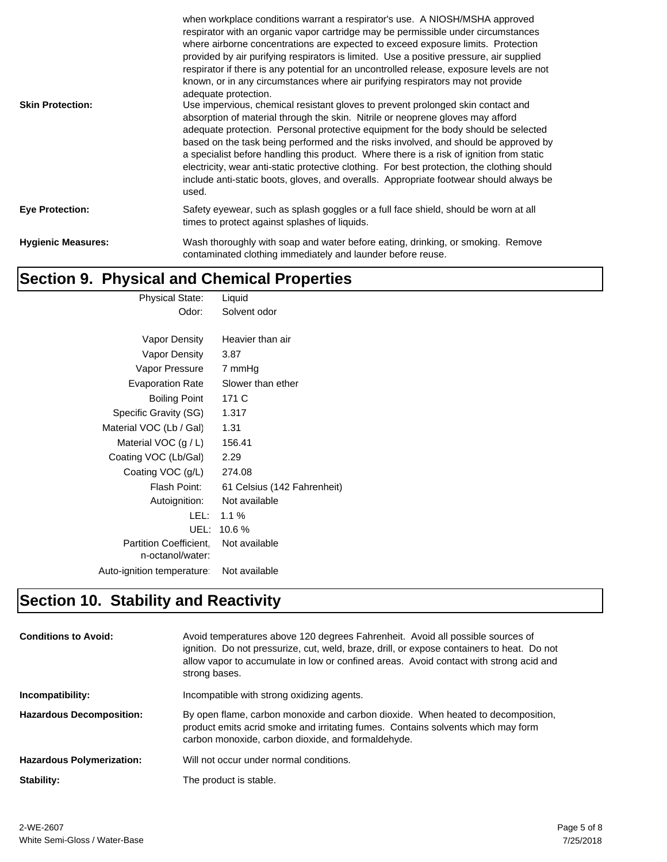| <b>Skin Protection:</b>   | when workplace conditions warrant a respirator's use. A NIOSH/MSHA approved<br>respirator with an organic vapor cartridge may be permissible under circumstances<br>where airborne concentrations are expected to exceed exposure limits. Protection<br>provided by air purifying respirators is limited. Use a positive pressure, air supplied<br>respirator if there is any potential for an uncontrolled release, exposure levels are not<br>known, or in any circumstances where air purifying respirators may not provide<br>adequate protection.<br>Use impervious, chemical resistant gloves to prevent prolonged skin contact and<br>absorption of material through the skin. Nitrile or neoprene gloves may afford<br>adequate protection. Personal protective equipment for the body should be selected<br>based on the task being performed and the risks involved, and should be approved by<br>a specialist before handling this product. Where there is a risk of ignition from static<br>electricity, wear anti-static protective clothing. For best protection, the clothing should<br>include anti-static boots, gloves, and overalls. Appropriate footwear should always be<br>used. |
|---------------------------|--------------------------------------------------------------------------------------------------------------------------------------------------------------------------------------------------------------------------------------------------------------------------------------------------------------------------------------------------------------------------------------------------------------------------------------------------------------------------------------------------------------------------------------------------------------------------------------------------------------------------------------------------------------------------------------------------------------------------------------------------------------------------------------------------------------------------------------------------------------------------------------------------------------------------------------------------------------------------------------------------------------------------------------------------------------------------------------------------------------------------------------------------------------------------------------------------------|
| <b>Eye Protection:</b>    | Safety eyewear, such as splash goggles or a full face shield, should be worn at all<br>times to protect against splashes of liquids.                                                                                                                                                                                                                                                                                                                                                                                                                                                                                                                                                                                                                                                                                                                                                                                                                                                                                                                                                                                                                                                                   |
| <b>Hygienic Measures:</b> | Wash thoroughly with soap and water before eating, drinking, or smoking. Remove<br>contaminated clothing immediately and launder before reuse.                                                                                                                                                                                                                                                                                                                                                                                                                                                                                                                                                                                                                                                                                                                                                                                                                                                                                                                                                                                                                                                         |

### **Section 9. Physical and Chemical Properties**

| <b>Physical State:</b>        | Liquid                      |
|-------------------------------|-----------------------------|
| Odor:                         | Solvent odor                |
|                               |                             |
| Vapor Density                 | Heavier than air            |
| Vapor Density                 | 3.87                        |
| Vapor Pressure                | 7 mmHg                      |
| <b>Evaporation Rate</b>       | Slower than ether           |
| <b>Boiling Point</b>          | 171 C                       |
| Specific Gravity (SG)         | 1.317                       |
| Material VOC (Lb / Gal)       | 1.31                        |
| Material VOC $(g/L)$          | 156.41                      |
| Coating VOC (Lb/Gal)          | 2.29                        |
| Coating VOC (g/L)             | 274.08                      |
| Flash Point:                  | 61 Celsius (142 Fahrenheit) |
| Autoignition:                 | Not available               |
| LEL :                         | $1.1\%$                     |
| UEL:                          | 10.6%                       |
| <b>Partition Coefficient.</b> | Not available               |
| n-octanol/water:              |                             |
| Auto-ignition temperature:    | Not available               |
|                               |                             |

## **Section 10. Stability and Reactivity**

| <b>Conditions to Avoid:</b>      | Avoid temperatures above 120 degrees Fahrenheit. Avoid all possible sources of<br>ignition. Do not pressurize, cut, weld, braze, drill, or expose containers to heat. Do not<br>allow vapor to accumulate in low or confined areas. Avoid contact with strong acid and<br>strong bases. |
|----------------------------------|-----------------------------------------------------------------------------------------------------------------------------------------------------------------------------------------------------------------------------------------------------------------------------------------|
| Incompatibility:                 | Incompatible with strong oxidizing agents.                                                                                                                                                                                                                                              |
| <b>Hazardous Decomposition:</b>  | By open flame, carbon monoxide and carbon dioxide. When heated to decomposition,<br>product emits acrid smoke and irritating fumes. Contains solvents which may form<br>carbon monoxide, carbon dioxide, and formaldehyde.                                                              |
| <b>Hazardous Polymerization:</b> | Will not occur under normal conditions.                                                                                                                                                                                                                                                 |
| Stability:                       | The product is stable.                                                                                                                                                                                                                                                                  |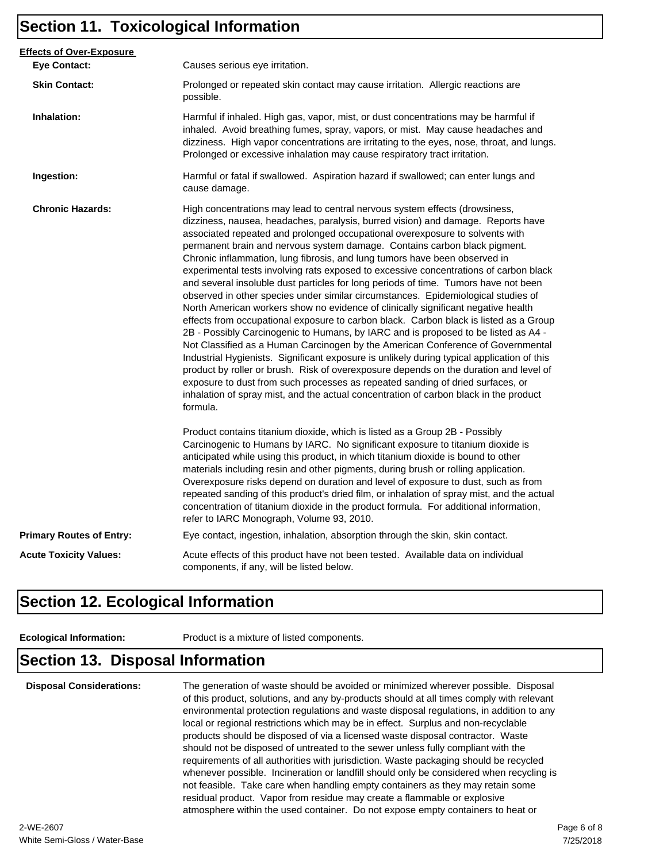#### **Section 11. Toxicological Information**

| <b>Effects of Over-Exposure</b> |                                                                                                                                                                                                                                                                                                                                                                                                                                                                                                                                                                                                                                                                                                                                                                                                                                                                                                                                                                                                                                                                                                                                                                                                                                                                                                                                                                                                                      |  |  |
|---------------------------------|----------------------------------------------------------------------------------------------------------------------------------------------------------------------------------------------------------------------------------------------------------------------------------------------------------------------------------------------------------------------------------------------------------------------------------------------------------------------------------------------------------------------------------------------------------------------------------------------------------------------------------------------------------------------------------------------------------------------------------------------------------------------------------------------------------------------------------------------------------------------------------------------------------------------------------------------------------------------------------------------------------------------------------------------------------------------------------------------------------------------------------------------------------------------------------------------------------------------------------------------------------------------------------------------------------------------------------------------------------------------------------------------------------------------|--|--|
| <b>Eye Contact:</b>             | Causes serious eye irritation.                                                                                                                                                                                                                                                                                                                                                                                                                                                                                                                                                                                                                                                                                                                                                                                                                                                                                                                                                                                                                                                                                                                                                                                                                                                                                                                                                                                       |  |  |
| <b>Skin Contact:</b>            | Prolonged or repeated skin contact may cause irritation. Allergic reactions are<br>possible.                                                                                                                                                                                                                                                                                                                                                                                                                                                                                                                                                                                                                                                                                                                                                                                                                                                                                                                                                                                                                                                                                                                                                                                                                                                                                                                         |  |  |
| Inhalation:                     | Harmful if inhaled. High gas, vapor, mist, or dust concentrations may be harmful if<br>inhaled. Avoid breathing fumes, spray, vapors, or mist. May cause headaches and<br>dizziness. High vapor concentrations are irritating to the eyes, nose, throat, and lungs.<br>Prolonged or excessive inhalation may cause respiratory tract irritation.                                                                                                                                                                                                                                                                                                                                                                                                                                                                                                                                                                                                                                                                                                                                                                                                                                                                                                                                                                                                                                                                     |  |  |
| Ingestion:                      | Harmful or fatal if swallowed. Aspiration hazard if swallowed; can enter lungs and<br>cause damage.                                                                                                                                                                                                                                                                                                                                                                                                                                                                                                                                                                                                                                                                                                                                                                                                                                                                                                                                                                                                                                                                                                                                                                                                                                                                                                                  |  |  |
| <b>Chronic Hazards:</b>         | High concentrations may lead to central nervous system effects (drowsiness,<br>dizziness, nausea, headaches, paralysis, burred vision) and damage. Reports have<br>associated repeated and prolonged occupational overexposure to solvents with<br>permanent brain and nervous system damage. Contains carbon black pigment.<br>Chronic inflammation, lung fibrosis, and lung tumors have been observed in<br>experimental tests involving rats exposed to excessive concentrations of carbon black<br>and several insoluble dust particles for long periods of time. Tumors have not been<br>observed in other species under similar circumstances. Epidemiological studies of<br>North American workers show no evidence of clinically significant negative health<br>effects from occupational exposure to carbon black. Carbon black is listed as a Group<br>2B - Possibly Carcinogenic to Humans, by IARC and is proposed to be listed as A4 -<br>Not Classified as a Human Carcinogen by the American Conference of Governmental<br>Industrial Hygienists. Significant exposure is unlikely during typical application of this<br>product by roller or brush. Risk of overexposure depends on the duration and level of<br>exposure to dust from such processes as repeated sanding of dried surfaces, or<br>inhalation of spray mist, and the actual concentration of carbon black in the product<br>formula. |  |  |
|                                 | Product contains titanium dioxide, which is listed as a Group 2B - Possibly<br>Carcinogenic to Humans by IARC. No significant exposure to titanium dioxide is<br>anticipated while using this product, in which titanium dioxide is bound to other<br>materials including resin and other pigments, during brush or rolling application.<br>Overexposure risks depend on duration and level of exposure to dust, such as from<br>repeated sanding of this product's dried film, or inhalation of spray mist, and the actual<br>concentration of titanium dioxide in the product formula. For additional information,<br>refer to IARC Monograph, Volume 93, 2010.                                                                                                                                                                                                                                                                                                                                                                                                                                                                                                                                                                                                                                                                                                                                                    |  |  |
| <b>Primary Routes of Entry:</b> | Eye contact, ingestion, inhalation, absorption through the skin, skin contact.                                                                                                                                                                                                                                                                                                                                                                                                                                                                                                                                                                                                                                                                                                                                                                                                                                                                                                                                                                                                                                                                                                                                                                                                                                                                                                                                       |  |  |
| <b>Acute Toxicity Values:</b>   | Acute effects of this product have not been tested. Available data on individual<br>components, if any, will be listed below.                                                                                                                                                                                                                                                                                                                                                                                                                                                                                                                                                                                                                                                                                                                                                                                                                                                                                                                                                                                                                                                                                                                                                                                                                                                                                        |  |  |

#### **Section 12. Ecological Information**

**Ecological Information:** Product is a mixture of listed components.

#### **Section 13. Disposal Information**

**Disposal Considerations:** The generation of waste should be avoided or minimized wherever possible. Disposal of this product, solutions, and any by-products should at all times comply with relevant environmental protection regulations and waste disposal regulations, in addition to any local or regional restrictions which may be in effect. Surplus and non-recyclable products should be disposed of via a licensed waste disposal contractor. Waste should not be disposed of untreated to the sewer unless fully compliant with the requirements of all authorities with jurisdiction. Waste packaging should be recycled whenever possible. Incineration or landfill should only be considered when recycling is not feasible. Take care when handling empty containers as they may retain some residual product. Vapor from residue may create a flammable or explosive atmosphere within the used container. Do not expose empty containers to heat or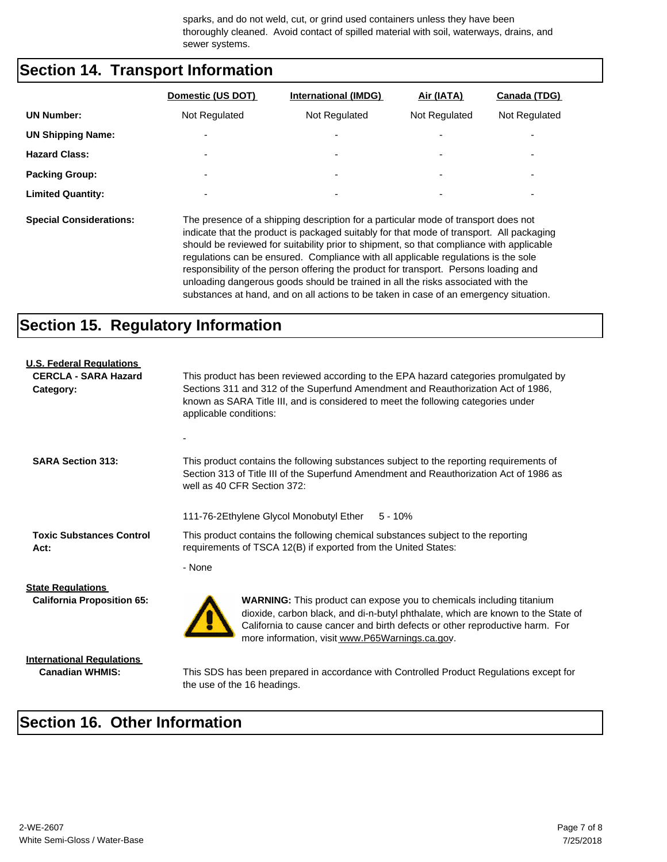sparks, and do not weld, cut, or grind used containers unless they have been thoroughly cleaned. Avoid contact of spilled material with soil, waterways, drains, and sewer systems.

#### **Section 14. Transport Information**

|                          | Domestic (US DOT)        | <b>International (IMDG)</b> | Air (IATA)               | Canada (TDG)             |
|--------------------------|--------------------------|-----------------------------|--------------------------|--------------------------|
| <b>UN Number:</b>        | Not Regulated            | Not Regulated               | Not Regulated            | Not Regulated            |
| <b>UN Shipping Name:</b> | $\overline{\phantom{0}}$ | ۰                           | $\overline{\phantom{0}}$ | $\overline{\phantom{0}}$ |
| <b>Hazard Class:</b>     | $\overline{\phantom{0}}$ | ۰                           | $\overline{\phantom{0}}$ | $\overline{\phantom{0}}$ |
| <b>Packing Group:</b>    | $\overline{\phantom{0}}$ | $\overline{\phantom{a}}$    | ۰                        | $\overline{\phantom{a}}$ |
| <b>Limited Quantity:</b> | $\overline{\phantom{0}}$ | ۰                           | ۰                        | ۰                        |
|                          |                          |                             |                          |                          |

**Special Considerations:** The presence of a shipping description for a particular mode of transport does not indicate that the product is packaged suitably for that mode of transport. All packaging should be reviewed for suitability prior to shipment, so that compliance with applicable regulations can be ensured. Compliance with all applicable regulations is the sole responsibility of the person offering the product for transport. Persons loading and unloading dangerous goods should be trained in all the risks associated with the substances at hand, and on all actions to be taken in case of an emergency situation.

#### **Section 15. Regulatory Information**

| <b>U.S. Federal Regulations</b><br><b>CERCLA - SARA Hazard</b><br>Category: | This product has been reviewed according to the EPA hazard categories promulgated by<br>Sections 311 and 312 of the Superfund Amendment and Reauthorization Act of 1986,<br>known as SARA Title III, and is considered to meet the following categories under<br>applicable conditions:            |  |  |  |
|-----------------------------------------------------------------------------|----------------------------------------------------------------------------------------------------------------------------------------------------------------------------------------------------------------------------------------------------------------------------------------------------|--|--|--|
| <b>SARA Section 313:</b>                                                    | This product contains the following substances subject to the reporting requirements of<br>Section 313 of Title III of the Superfund Amendment and Reauthorization Act of 1986 as<br>well as 40 CFR Section 372:                                                                                   |  |  |  |
| <b>Toxic Substances Control</b><br>Act:                                     | 111-76-2Ethylene Glycol Monobutyl Ether<br>$5 - 10%$<br>This product contains the following chemical substances subject to the reporting<br>requirements of TSCA 12(B) if exported from the United States:                                                                                         |  |  |  |
|                                                                             | - None                                                                                                                                                                                                                                                                                             |  |  |  |
| <b>State Regulations</b><br><b>California Proposition 65:</b>               | <b>WARNING:</b> This product can expose you to chemicals including titanium<br>dioxide, carbon black, and di-n-butyl phthalate, which are known to the State of<br>California to cause cancer and birth defects or other reproductive harm. For<br>more information, visit www.P65Warnings.ca.gov. |  |  |  |
| <b>International Regulations</b><br><b>Canadian WHMIS:</b>                  | This SDS has been prepared in accordance with Controlled Product Regulations except for<br>the use of the 16 headings.                                                                                                                                                                             |  |  |  |

#### **Section 16. Other Information**